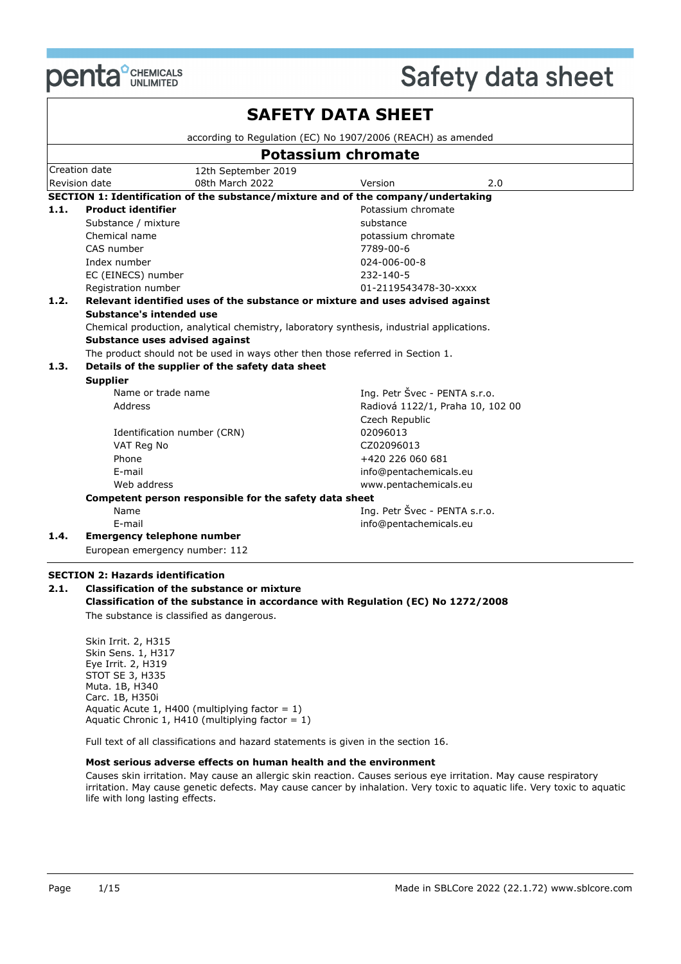

|      |                                   |                                                                                           | <b>SAFETY DATA SHEET</b>      |                                  |  |
|------|-----------------------------------|-------------------------------------------------------------------------------------------|-------------------------------|----------------------------------|--|
|      |                                   | according to Regulation (EC) No 1907/2006 (REACH) as amended                              |                               |                                  |  |
|      |                                   |                                                                                           | <b>Potassium chromate</b>     |                                  |  |
|      | Creation date                     | 12th September 2019                                                                       |                               |                                  |  |
|      | Revision date                     | 08th March 2022                                                                           | Version                       | 2.0                              |  |
|      |                                   | SECTION 1: Identification of the substance/mixture and of the company/undertaking         |                               |                                  |  |
| 1.1. | <b>Product identifier</b>         |                                                                                           | Potassium chromate            |                                  |  |
|      | Substance / mixture               |                                                                                           | substance                     |                                  |  |
|      | Chemical name                     |                                                                                           | potassium chromate            |                                  |  |
|      | CAS number                        |                                                                                           | 7789-00-6                     |                                  |  |
|      | Index number                      |                                                                                           | 024-006-00-8                  |                                  |  |
|      | EC (EINECS) number                |                                                                                           | $232 - 140 - 5$               |                                  |  |
|      | Registration number               |                                                                                           | 01-2119543478-30-xxxx         |                                  |  |
| 1.2. |                                   | Relevant identified uses of the substance or mixture and uses advised against             |                               |                                  |  |
|      | Substance's intended use          |                                                                                           |                               |                                  |  |
|      |                                   | Chemical production, analytical chemistry, laboratory synthesis, industrial applications. |                               |                                  |  |
|      | Substance uses advised against    |                                                                                           |                               |                                  |  |
|      |                                   | The product should not be used in ways other then those referred in Section 1.            |                               |                                  |  |
| 1.3. |                                   | Details of the supplier of the safety data sheet                                          |                               |                                  |  |
|      | <b>Supplier</b>                   |                                                                                           |                               |                                  |  |
|      | Name or trade name                |                                                                                           | Ing. Petr Švec - PENTA s.r.o. |                                  |  |
|      | Address                           |                                                                                           |                               | Radiová 1122/1, Praha 10, 102 00 |  |
|      |                                   |                                                                                           | Czech Republic                |                                  |  |
|      | Identification number (CRN)       |                                                                                           | 02096013                      |                                  |  |
|      | VAT Reg No                        |                                                                                           | CZ02096013                    |                                  |  |
|      | Phone                             |                                                                                           | +420 226 060 681              |                                  |  |
|      | E-mail                            |                                                                                           | info@pentachemicals.eu        |                                  |  |
|      | Web address                       |                                                                                           | www.pentachemicals.eu         |                                  |  |
|      |                                   | Competent person responsible for the safety data sheet                                    |                               |                                  |  |
|      | Name<br>E-mail                    |                                                                                           | Ing. Petr Švec - PENTA s.r.o. |                                  |  |
| 1.4. | <b>Emergency telephone number</b> |                                                                                           | info@pentachemicals.eu        |                                  |  |
|      | European emergency number: 112    |                                                                                           |                               |                                  |  |

#### **SECTION 2: Hazards identification**

#### **2.1. Classification of the substance or mixture Classification of the substance in accordance with Regulation (EC) No 1272/2008** The substance is classified as dangerous.

Skin Irrit. 2, H315 Skin Sens. 1, H317 Eye Irrit. 2, H319 STOT SE 3, H335 Muta. 1B, H340 Carc. 1B, H350i Aquatic Acute 1, H400 (multiplying factor =  $1$ ) Aquatic Chronic 1, H410 (multiplying factor = 1)

Full text of all classifications and hazard statements is given in the section 16.

#### **Most serious adverse effects on human health and the environment**

Causes skin irritation. May cause an allergic skin reaction. Causes serious eye irritation. May cause respiratory irritation. May cause genetic defects. May cause cancer by inhalation. Very toxic to aquatic life. Very toxic to aquatic life with long lasting effects.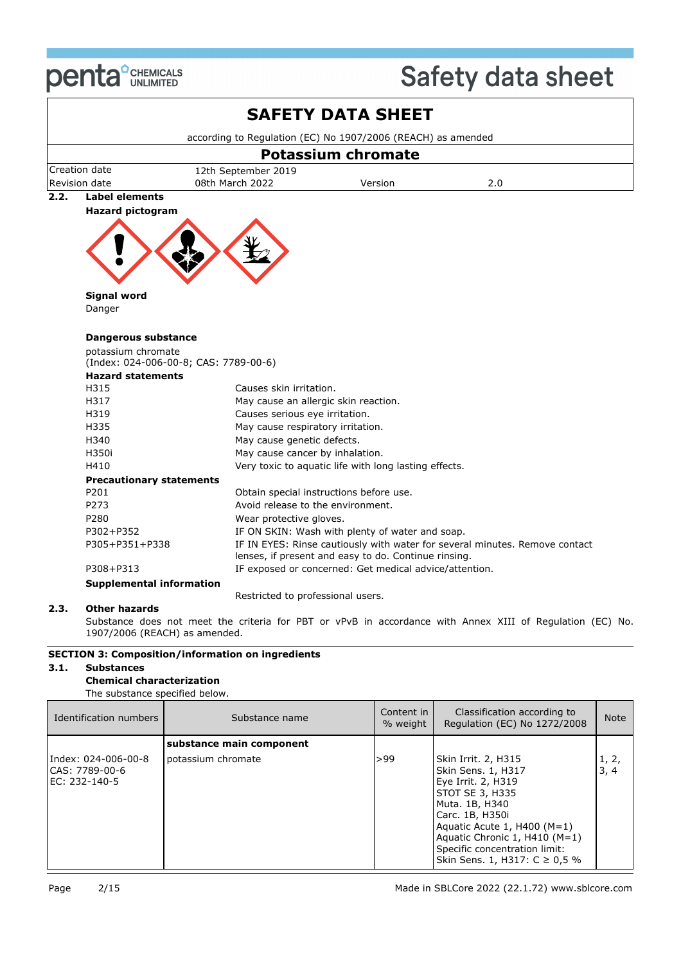

|      |                                        |                                                              | <b>SAFETY DATA SHEET</b>                               |                                                                                                           |  |  |  |  |
|------|----------------------------------------|--------------------------------------------------------------|--------------------------------------------------------|-----------------------------------------------------------------------------------------------------------|--|--|--|--|
|      |                                        | according to Regulation (EC) No 1907/2006 (REACH) as amended |                                                        |                                                                                                           |  |  |  |  |
|      |                                        |                                                              | <b>Potassium chromate</b>                              |                                                                                                           |  |  |  |  |
|      | Creation date                          | 12th September 2019                                          |                                                        |                                                                                                           |  |  |  |  |
|      | Revision date                          | 08th March 2022                                              | Version                                                | 2.0                                                                                                       |  |  |  |  |
| 2.2. | <b>Label elements</b>                  |                                                              |                                                        |                                                                                                           |  |  |  |  |
|      | <b>Hazard pictogram</b>                |                                                              |                                                        |                                                                                                           |  |  |  |  |
|      |                                        |                                                              |                                                        |                                                                                                           |  |  |  |  |
|      |                                        |                                                              |                                                        |                                                                                                           |  |  |  |  |
|      |                                        |                                                              |                                                        |                                                                                                           |  |  |  |  |
|      | <b>Signal word</b>                     |                                                              |                                                        |                                                                                                           |  |  |  |  |
|      | Danger                                 |                                                              |                                                        |                                                                                                           |  |  |  |  |
|      |                                        |                                                              |                                                        |                                                                                                           |  |  |  |  |
|      | <b>Dangerous substance</b>             |                                                              |                                                        |                                                                                                           |  |  |  |  |
|      | potassium chromate                     |                                                              |                                                        |                                                                                                           |  |  |  |  |
|      |                                        | (Index: 024-006-00-8; CAS: 7789-00-6)                        |                                                        |                                                                                                           |  |  |  |  |
|      | <b>Hazard statements</b>               |                                                              |                                                        |                                                                                                           |  |  |  |  |
|      | H315                                   | Causes skin irritation.                                      |                                                        |                                                                                                           |  |  |  |  |
|      | H317                                   | May cause an allergic skin reaction.                         |                                                        |                                                                                                           |  |  |  |  |
|      | H319                                   | Causes serious eye irritation.                               |                                                        |                                                                                                           |  |  |  |  |
|      | H335                                   | May cause respiratory irritation.                            |                                                        |                                                                                                           |  |  |  |  |
|      | H340                                   | May cause genetic defects.                                   |                                                        |                                                                                                           |  |  |  |  |
|      | H350i                                  | May cause cancer by inhalation.                              |                                                        |                                                                                                           |  |  |  |  |
|      | H410                                   |                                                              | Very toxic to aquatic life with long lasting effects.  |                                                                                                           |  |  |  |  |
|      | <b>Precautionary statements</b>        |                                                              |                                                        |                                                                                                           |  |  |  |  |
|      | P201                                   | Obtain special instructions before use.                      |                                                        |                                                                                                           |  |  |  |  |
|      | P273                                   | Avoid release to the environment.                            |                                                        |                                                                                                           |  |  |  |  |
|      | P280                                   | Wear protective gloves.                                      |                                                        |                                                                                                           |  |  |  |  |
|      | P302+P352                              |                                                              | IF ON SKIN: Wash with plenty of water and soap.        |                                                                                                           |  |  |  |  |
|      | P305+P351+P338                         |                                                              | lenses, if present and easy to do. Continue rinsing.   | IF IN EYES: Rinse cautiously with water for several minutes. Remove contact                               |  |  |  |  |
|      | P308+P313                              |                                                              | IF exposed or concerned: Get medical advice/attention. |                                                                                                           |  |  |  |  |
|      | <b>Supplemental information</b>        |                                                              |                                                        |                                                                                                           |  |  |  |  |
|      |                                        | Restricted to professional users.                            |                                                        |                                                                                                           |  |  |  |  |
| 2.3. | <b>Other hazards</b>                   |                                                              |                                                        |                                                                                                           |  |  |  |  |
|      | 1907/2006 (REACH) as amended.          |                                                              |                                                        | Substance does not meet the criteria for PBT or vPvB in accordance with Annex XIII of Regulation (EC) No. |  |  |  |  |
|      | FOTTOM D. C.<br>والمراقبة والمناق<br>. | - 140<br>- 45.                                               |                                                        |                                                                                                           |  |  |  |  |

#### **SECTION 3: Composition/information on ingredients**

#### **3.1. Substances**

#### **Chemical characterization**

| The substance specified below. |
|--------------------------------|
|                                |

| Identification numbers                                 | Substance name           | Content in<br>% weight | Classification according to<br>Regulation (EC) No 1272/2008                                                                                                                                                                                                     | <b>Note</b>   |
|--------------------------------------------------------|--------------------------|------------------------|-----------------------------------------------------------------------------------------------------------------------------------------------------------------------------------------------------------------------------------------------------------------|---------------|
|                                                        | substance main component |                        |                                                                                                                                                                                                                                                                 |               |
| Index: 024-006-00-8<br>CAS: 7789-00-6<br>EC: 232-140-5 | potassium chromate       | >99                    | Skin Irrit. 2, H315<br>Skin Sens. 1, H317<br>Eye Irrit. 2, H319<br>STOT SE 3, H335<br>Muta. 1B, H340<br>Carc. 1B, H350i<br>Aquatic Acute 1, H400 ( $M=1$ )<br>Aquatic Chronic 1, $H410$ (M=1)<br>Specific concentration limit:<br>Skin Sens. 1, H317: C ≥ 0.5 % | 1, 2,<br>3, 4 |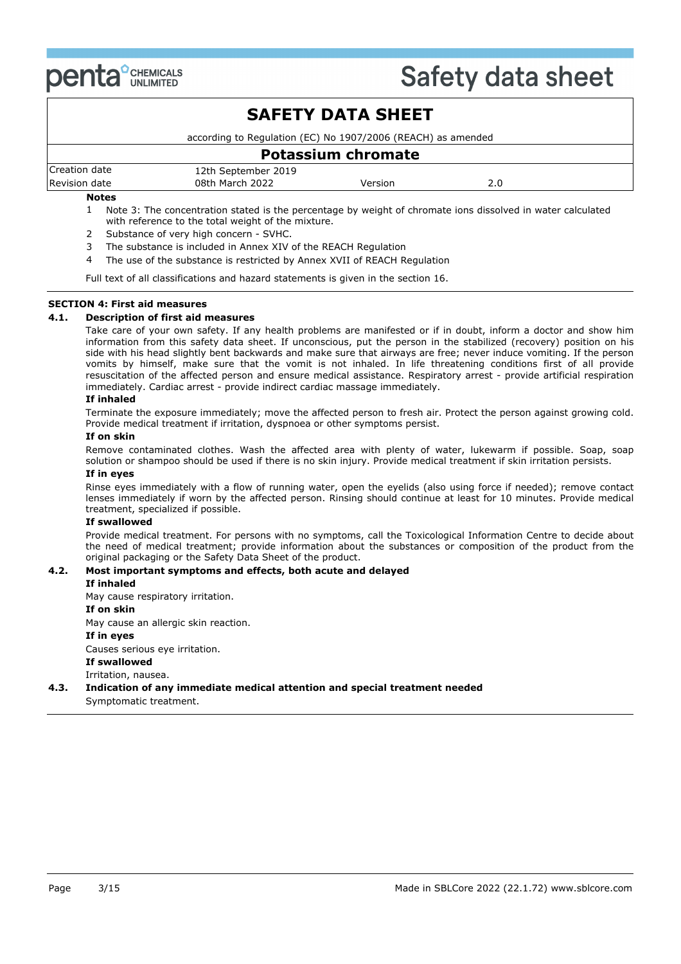

|               |                                                              | <b>SAFETY DATA SHEET</b>  |     |  |
|---------------|--------------------------------------------------------------|---------------------------|-----|--|
|               | according to Regulation (EC) No 1907/2006 (REACH) as amended |                           |     |  |
|               |                                                              | <b>Potassium chromate</b> |     |  |
| Creation date | 12th September 2019                                          |                           |     |  |
| Revision date | 08th March 2022                                              | Version                   | 2.0 |  |
| <b>Notes</b>  |                                                              |                           |     |  |

1 Note 3: The concentration stated is the percentage by weight of chromate ions dissolved in water calculated with reference to the total weight of the mixture.

- 2 Substance of very high concern SVHC.
- 3 The substance is included in Annex XIV of the REACH Regulation
- 4 The use of the substance is restricted by Annex XVII of REACH Regulation

Full text of all classifications and hazard statements is given in the section 16.

#### **SECTION 4: First aid measures**

#### **4.1. Description of first aid measures**

Take care of your own safety. If any health problems are manifested or if in doubt, inform a doctor and show him information from this safety data sheet. If unconscious, put the person in the stabilized (recovery) position on his side with his head slightly bent backwards and make sure that airways are free; never induce vomiting. If the person vomits by himself, make sure that the vomit is not inhaled. In life threatening conditions first of all provide resuscitation of the affected person and ensure medical assistance. Respiratory arrest - provide artificial respiration immediately. Cardiac arrest - provide indirect cardiac massage immediately.

#### **If inhaled**

Terminate the exposure immediately; move the affected person to fresh air. Protect the person against growing cold. Provide medical treatment if irritation, dyspnoea or other symptoms persist.

#### **If on skin**

Remove contaminated clothes. Wash the affected area with plenty of water, lukewarm if possible. Soap, soap solution or shampoo should be used if there is no skin injury. Provide medical treatment if skin irritation persists.

#### **If in eyes**

Rinse eyes immediately with a flow of running water, open the eyelids (also using force if needed); remove contact lenses immediately if worn by the affected person. Rinsing should continue at least for 10 minutes. Provide medical treatment, specialized if possible.

#### **If swallowed**

Provide medical treatment. For persons with no symptoms, call the Toxicological Information Centre to decide about the need of medical treatment; provide information about the substances or composition of the product from the original packaging or the Safety Data Sheet of the product.

#### **4.2. Most important symptoms and effects, both acute and delayed**

#### **If inhaled**

May cause respiratory irritation.

#### **If on skin**

May cause an allergic skin reaction.

#### **If in eyes**

Causes serious eye irritation.

**If swallowed**

#### Irritation, nausea.

#### **4.3. Indication of any immediate medical attention and special treatment needed**

Symptomatic treatment.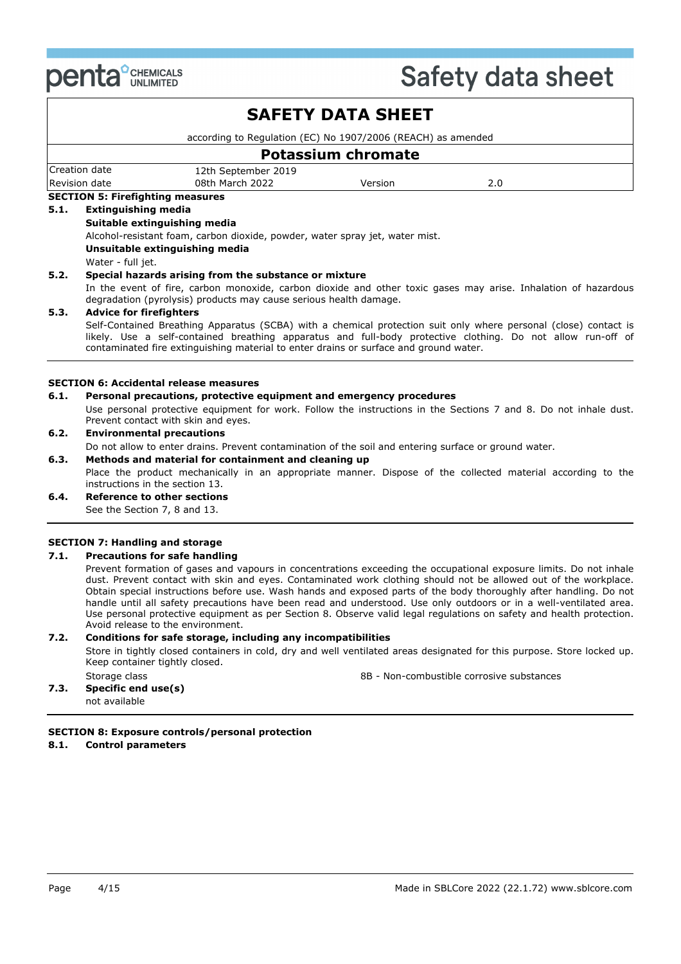

|      |                                                                              |                                                                                       | <b>SAFETY DATA SHEET</b>  |                                                                                                                                                                                                                                 |  |  |
|------|------------------------------------------------------------------------------|---------------------------------------------------------------------------------------|---------------------------|---------------------------------------------------------------------------------------------------------------------------------------------------------------------------------------------------------------------------------|--|--|
|      |                                                                              | according to Regulation (EC) No 1907/2006 (REACH) as amended                          |                           |                                                                                                                                                                                                                                 |  |  |
|      |                                                                              |                                                                                       | <b>Potassium chromate</b> |                                                                                                                                                                                                                                 |  |  |
|      | Creation date                                                                | 12th September 2019                                                                   |                           |                                                                                                                                                                                                                                 |  |  |
|      | Revision date                                                                | 08th March 2022                                                                       | Version                   | 2.0                                                                                                                                                                                                                             |  |  |
|      | <b>SECTION 5: Firefighting measures</b>                                      |                                                                                       |                           |                                                                                                                                                                                                                                 |  |  |
| 5.1. | <b>Extinguishing media</b>                                                   |                                                                                       |                           |                                                                                                                                                                                                                                 |  |  |
|      |                                                                              | Suitable extinguishing media                                                          |                           |                                                                                                                                                                                                                                 |  |  |
|      | Alcohol-resistant foam, carbon dioxide, powder, water spray jet, water mist. |                                                                                       |                           |                                                                                                                                                                                                                                 |  |  |
|      | Unsuitable extinguishing media                                               |                                                                                       |                           |                                                                                                                                                                                                                                 |  |  |
|      | Water - full jet.                                                            |                                                                                       |                           |                                                                                                                                                                                                                                 |  |  |
| 5.2. |                                                                              | Special hazards arising from the substance or mixture                                 |                           |                                                                                                                                                                                                                                 |  |  |
|      |                                                                              | degradation (pyrolysis) products may cause serious health damage.                     |                           | In the event of fire, carbon monoxide, carbon dioxide and other toxic gases may arise. Inhalation of hazardous                                                                                                                  |  |  |
| 5.3. | <b>Advice for firefighters</b>                                               |                                                                                       |                           |                                                                                                                                                                                                                                 |  |  |
|      |                                                                              | contaminated fire extinguishing material to enter drains or surface and ground water. |                           | Self-Contained Breathing Apparatus (SCBA) with a chemical protection suit only where personal (close) contact is<br>likely. Use a self-contained breathing apparatus and full-body protective clothing. Do not allow run-off of |  |  |
|      |                                                                              | <b>SECTION 6: Accidental release measures</b>                                         |                           |                                                                                                                                                                                                                                 |  |  |
| 6.1. |                                                                              | Personal precautions, protective equipment and emergency procedures                   |                           |                                                                                                                                                                                                                                 |  |  |
|      |                                                                              | Prevent contact with skin and eyes.                                                   |                           | Use personal protective equipment for work. Follow the instructions in the Sections 7 and 8. Do not inhale dust.                                                                                                                |  |  |
| 6.2. | <b>Environmental precautions</b>                                             |                                                                                       |                           |                                                                                                                                                                                                                                 |  |  |

### Do not allow to enter drains. Prevent contamination of the soil and entering surface or ground water.

#### **6.3. Methods and material for containment and cleaning up**

Place the product mechanically in an appropriate manner. Dispose of the collected material according to the instructions in the section 13.

#### **6.4. Reference to other sections**

See the Section 7, 8 and 13.

#### **SECTION 7: Handling and storage**

#### **7.1. Precautions for safe handling**

Prevent formation of gases and vapours in concentrations exceeding the occupational exposure limits. Do not inhale dust. Prevent contact with skin and eyes. Contaminated work clothing should not be allowed out of the workplace. Obtain special instructions before use. Wash hands and exposed parts of the body thoroughly after handling. Do not handle until all safety precautions have been read and understood. Use only outdoors or in a well-ventilated area. Use personal protective equipment as per Section 8. Observe valid legal regulations on safety and health protection. Avoid release to the environment.

#### **7.2. Conditions for safe storage, including any incompatibilities**

Store in tightly closed containers in cold, dry and well ventilated areas designated for this purpose. Store locked up. Keep container tightly closed.

Storage class **8B - Non-combustible corrosive substances** 8B - Non-combustible corrosive substances

### **7.3. Specific end use(s)**

not available

#### **SECTION 8: Exposure controls/personal protection**

#### **8.1. Control parameters**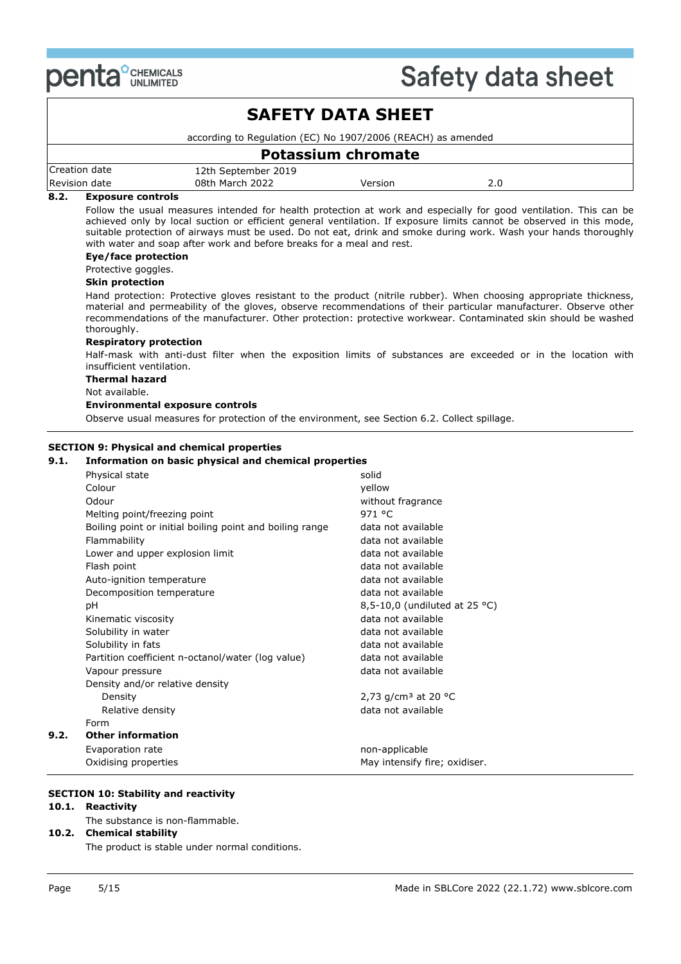

|              |                                                                                                                                                                                                                                                                                                                                                                                                  | <b>SAFETY DATA SHEET</b>                                                                                                                                                                                                                                                                                                       |                                                                                                                                                                                                                                                                                                                                                           |                                                                                                                                                                                                                                                                                                                                                                                                                                                                                                                                                                                                                                                                                                                                                                                                                                            |
|--------------|--------------------------------------------------------------------------------------------------------------------------------------------------------------------------------------------------------------------------------------------------------------------------------------------------------------------------------------------------------------------------------------------------|--------------------------------------------------------------------------------------------------------------------------------------------------------------------------------------------------------------------------------------------------------------------------------------------------------------------------------|-----------------------------------------------------------------------------------------------------------------------------------------------------------------------------------------------------------------------------------------------------------------------------------------------------------------------------------------------------------|--------------------------------------------------------------------------------------------------------------------------------------------------------------------------------------------------------------------------------------------------------------------------------------------------------------------------------------------------------------------------------------------------------------------------------------------------------------------------------------------------------------------------------------------------------------------------------------------------------------------------------------------------------------------------------------------------------------------------------------------------------------------------------------------------------------------------------------------|
|              |                                                                                                                                                                                                                                                                                                                                                                                                  | according to Regulation (EC) No 1907/2006 (REACH) as amended                                                                                                                                                                                                                                                                   |                                                                                                                                                                                                                                                                                                                                                           |                                                                                                                                                                                                                                                                                                                                                                                                                                                                                                                                                                                                                                                                                                                                                                                                                                            |
|              |                                                                                                                                                                                                                                                                                                                                                                                                  | <b>Potassium chromate</b>                                                                                                                                                                                                                                                                                                      |                                                                                                                                                                                                                                                                                                                                                           |                                                                                                                                                                                                                                                                                                                                                                                                                                                                                                                                                                                                                                                                                                                                                                                                                                            |
|              | Creation date<br>Revision date                                                                                                                                                                                                                                                                                                                                                                   | 12th September 2019<br>08th March 2022                                                                                                                                                                                                                                                                                         | Version                                                                                                                                                                                                                                                                                                                                                   | 2.0                                                                                                                                                                                                                                                                                                                                                                                                                                                                                                                                                                                                                                                                                                                                                                                                                                        |
| 8.2.<br>9.1. | <b>Exposure controls</b><br><b>Eye/face protection</b><br>Protective goggles.<br><b>Skin protection</b><br>thoroughly.<br><b>Respiratory protection</b><br>insufficient ventilation.<br><b>Thermal hazard</b><br>Not available.                                                                                                                                                                  | with water and soap after work and before breaks for a meal and rest.<br><b>Environmental exposure controls</b><br>Observe usual measures for protection of the environment, see Section 6.2. Collect spillage.<br><b>SECTION 9: Physical and chemical properties</b><br>Information on basic physical and chemical properties |                                                                                                                                                                                                                                                                                                                                                           | Follow the usual measures intended for health protection at work and especially for good ventilation. This can be<br>achieved only by local suction or efficient general ventilation. If exposure limits cannot be observed in this mode,<br>suitable protection of airways must be used. Do not eat, drink and smoke during work. Wash your hands thoroughly<br>Hand protection: Protective gloves resistant to the product (nitrile rubber). When choosing appropriate thickness,<br>material and permeability of the gloves, observe recommendations of their particular manufacturer. Observe other<br>recommendations of the manufacturer. Other protection: protective workwear. Contaminated skin should be washed<br>Half-mask with anti-dust filter when the exposition limits of substances are exceeded or in the location with |
| 9.2.         | Physical state<br>Colour<br>Odour<br>Melting point/freezing point<br>Flammability<br>Lower and upper explosion limit<br>Flash point<br>Auto-ignition temperature<br>Decomposition temperature<br>рH<br>Kinematic viscosity<br>Solubility in water<br>Solubility in fats<br>Vapour pressure<br>Density and/or relative density<br>Density<br>Relative density<br>Form<br><b>Other information</b> | Boiling point or initial boiling point and boiling range<br>Partition coefficient n-octanol/water (log value)                                                                                                                                                                                                                  | solid<br>yellow<br>without fragrance<br>971 °C<br>data not available<br>data not available<br>data not available<br>data not available<br>data not available<br>data not available<br>data not available<br>data not available<br>data not available<br>data not available<br>data not available<br>2,73 g/cm <sup>3</sup> at 20 °C<br>data not available | 8,5-10,0 (undiluted at 25 °C)                                                                                                                                                                                                                                                                                                                                                                                                                                                                                                                                                                                                                                                                                                                                                                                                              |
|              | Evaporation rate<br>Oxidising properties                                                                                                                                                                                                                                                                                                                                                         |                                                                                                                                                                                                                                                                                                                                | non-applicable<br>May intensify fire; oxidiser.                                                                                                                                                                                                                                                                                                           |                                                                                                                                                                                                                                                                                                                                                                                                                                                                                                                                                                                                                                                                                                                                                                                                                                            |

### **SECTION 10: Stability and reactivity**

### **10.1. Reactivity**

- The substance is non-flammable.
- **10.2. Chemical stability**

The product is stable under normal conditions.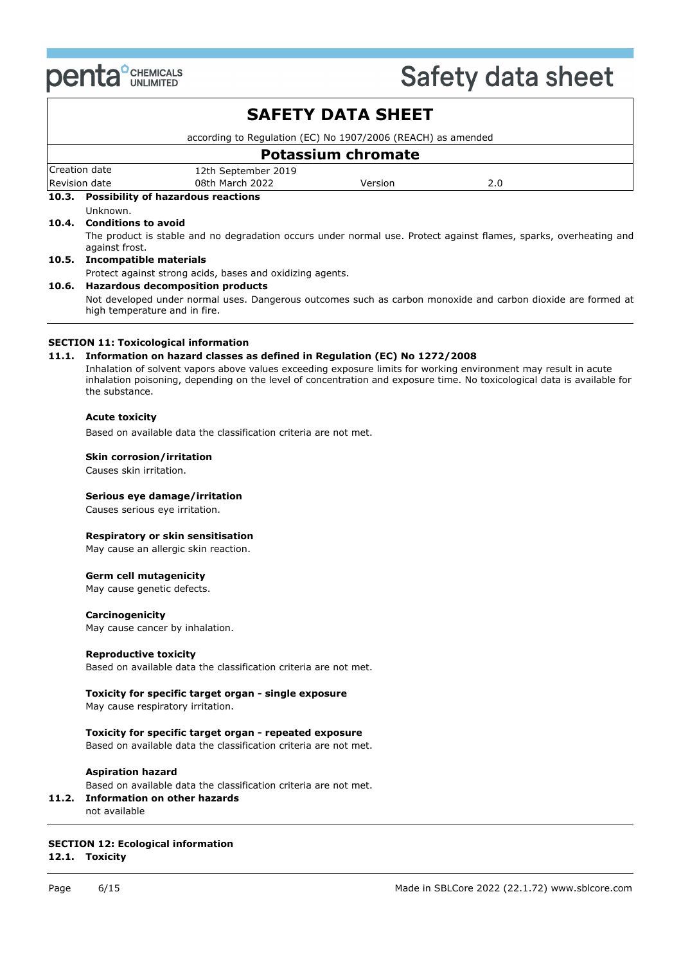

| <b>PULLER</b> UNLIMITED                                                                                         |                                                              | <b>OUIULY MULU JIIUUL</b>                                                                                               |  |  |  |
|-----------------------------------------------------------------------------------------------------------------|--------------------------------------------------------------|-------------------------------------------------------------------------------------------------------------------------|--|--|--|
|                                                                                                                 | <b>SAFETY DATA SHEET</b>                                     |                                                                                                                         |  |  |  |
|                                                                                                                 | according to Regulation (EC) No 1907/2006 (REACH) as amended |                                                                                                                         |  |  |  |
|                                                                                                                 | <b>Potassium chromate</b>                                    |                                                                                                                         |  |  |  |
| Creation date<br>12th September 2019                                                                            |                                                              |                                                                                                                         |  |  |  |
| Revision date<br>08th March 2022                                                                                | Version                                                      | 2.0                                                                                                                     |  |  |  |
| 10.3. Possibility of hazardous reactions                                                                        |                                                              |                                                                                                                         |  |  |  |
| Unknown.<br>10.4. Conditions to avoid                                                                           |                                                              |                                                                                                                         |  |  |  |
| against frost.                                                                                                  |                                                              | The product is stable and no degradation occurs under normal use. Protect against flames, sparks, overheating and       |  |  |  |
| 10.5. Incompatible materials                                                                                    |                                                              |                                                                                                                         |  |  |  |
| Protect against strong acids, bases and oxidizing agents.                                                       |                                                              |                                                                                                                         |  |  |  |
| 10.6. Hazardous decomposition products                                                                          |                                                              |                                                                                                                         |  |  |  |
| high temperature and in fire.                                                                                   |                                                              | Not developed under normal uses. Dangerous outcomes such as carbon monoxide and carbon dioxide are formed at            |  |  |  |
|                                                                                                                 |                                                              |                                                                                                                         |  |  |  |
|                                                                                                                 |                                                              |                                                                                                                         |  |  |  |
| <b>SECTION 11: Toxicological information</b>                                                                    |                                                              |                                                                                                                         |  |  |  |
| 11.1. Information on hazard classes as defined in Regulation (EC) No 1272/2008                                  |                                                              |                                                                                                                         |  |  |  |
| Inhalation of solvent vapors above values exceeding exposure limits for working environment may result in acute |                                                              | inhalation poisoning, depending on the level of concentration and exposure time. No toxicological data is available for |  |  |  |
| the substance.                                                                                                  |                                                              |                                                                                                                         |  |  |  |
| <b>Acute toxicity</b>                                                                                           |                                                              |                                                                                                                         |  |  |  |
| Based on available data the classification criteria are not met.                                                |                                                              |                                                                                                                         |  |  |  |
| <b>Skin corrosion/irritation</b>                                                                                |                                                              |                                                                                                                         |  |  |  |
| Causes skin irritation.                                                                                         |                                                              |                                                                                                                         |  |  |  |
| Serious eye damage/irritation                                                                                   |                                                              |                                                                                                                         |  |  |  |
| Causes serious eye irritation.                                                                                  |                                                              |                                                                                                                         |  |  |  |
|                                                                                                                 |                                                              |                                                                                                                         |  |  |  |
| Respiratory or skin sensitisation                                                                               |                                                              |                                                                                                                         |  |  |  |
| May cause an allergic skin reaction.                                                                            |                                                              |                                                                                                                         |  |  |  |
| <b>Germ cell mutagenicity</b>                                                                                   |                                                              |                                                                                                                         |  |  |  |
| May cause genetic defects.                                                                                      |                                                              |                                                                                                                         |  |  |  |
| Carcinogenicity                                                                                                 |                                                              |                                                                                                                         |  |  |  |
| May cause cancer by inhalation.                                                                                 |                                                              |                                                                                                                         |  |  |  |
| <b>Reproductive toxicity</b>                                                                                    |                                                              |                                                                                                                         |  |  |  |
| Based on available data the classification criteria are not met.                                                |                                                              |                                                                                                                         |  |  |  |
| Toxicity for specific target organ - single exposure                                                            |                                                              |                                                                                                                         |  |  |  |
| May cause respiratory irritation.                                                                               |                                                              |                                                                                                                         |  |  |  |

**Toxicity for specific target organ - repeated exposure** Based on available data the classification criteria are not met.

#### **Aspiration hazard**

Based on available data the classification criteria are not met.

- **11.2. Information on other hazards**
- not available

### **SECTION 12: Ecological information**

**12.1. Toxicity**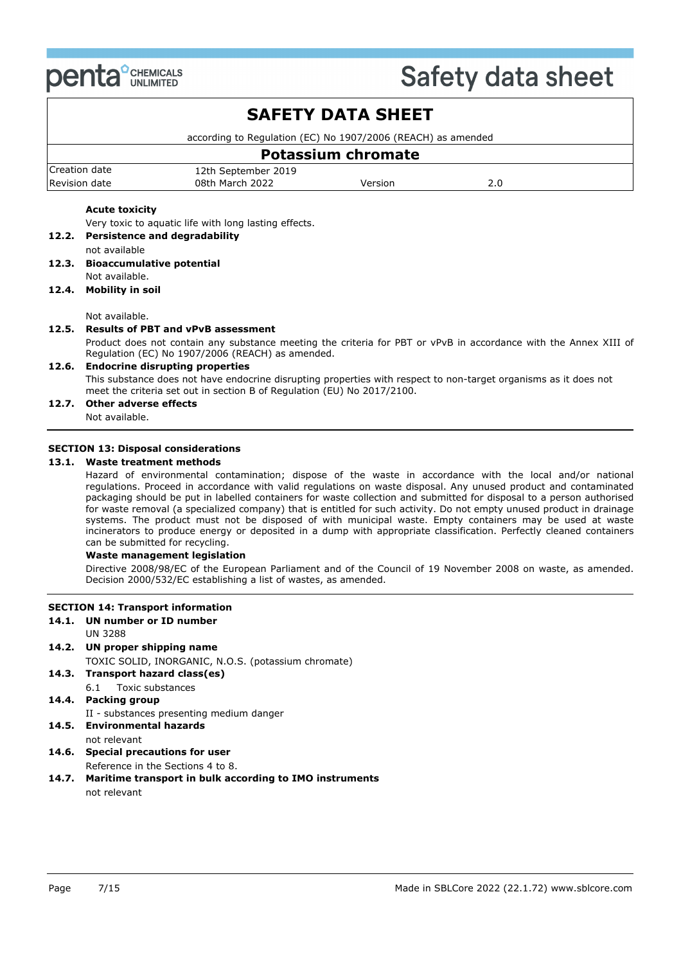

## **SAFETY DATA SHEET**

according to Regulation (EC) No 1907/2006 (REACH) as amended

|               | <b>Potassium chromate</b> |         |  |
|---------------|---------------------------|---------|--|
| Creation date | 12th September 2019       |         |  |
| Revision date | 08th March 2022           | Version |  |

#### **Acute toxicity**

Very toxic to aquatic life with long lasting effects.

- **12.2. Persistence and degradability**
	- not available
- **12.3. Bioaccumulative potential** Not available.

#### **12.4. Mobility in soil**

Not available.

#### **12.5. Results of PBT and vPvB assessment**

Product does not contain any substance meeting the criteria for PBT or vPvB in accordance with the Annex XIII of Regulation (EC) No 1907/2006 (REACH) as amended.

#### **12.6. Endocrine disrupting properties**

This substance does not have endocrine disrupting properties with respect to non-target organisms as it does not meet the criteria set out in section B of Regulation (EU) No 2017/2100.

#### **12.7. Other adverse effects**

Not available.

#### **SECTION 13: Disposal considerations**

#### **13.1. Waste treatment methods**

Hazard of environmental contamination; dispose of the waste in accordance with the local and/or national regulations. Proceed in accordance with valid regulations on waste disposal. Any unused product and contaminated packaging should be put in labelled containers for waste collection and submitted for disposal to a person authorised for waste removal (a specialized company) that is entitled for such activity. Do not empty unused product in drainage systems. The product must not be disposed of with municipal waste. Empty containers may be used at waste incinerators to produce energy or deposited in a dump with appropriate classification. Perfectly cleaned containers can be submitted for recycling.

#### **Waste management legislation**

Directive 2008/98/EC of the European Parliament and of the Council of 19 November 2008 on waste, as amended. Decision 2000/532/EC establishing a list of wastes, as amended.

#### **SECTION 14: Transport information**

**14.1. UN number or ID number**

UN 3288

**14.2. UN proper shipping name**

TOXIC SOLID, INORGANIC, N.O.S. (potassium chromate)

- **14.3. Transport hazard class(es)**
	- 6.1 Toxic substances

### **14.4. Packing group**

II - substances presenting medium danger

- **14.5. Environmental hazards** not relevant
- **14.6. Special precautions for user**
- Reference in the Sections 4 to 8. **14.7. Maritime transport in bulk according to IMO instruments**

not relevant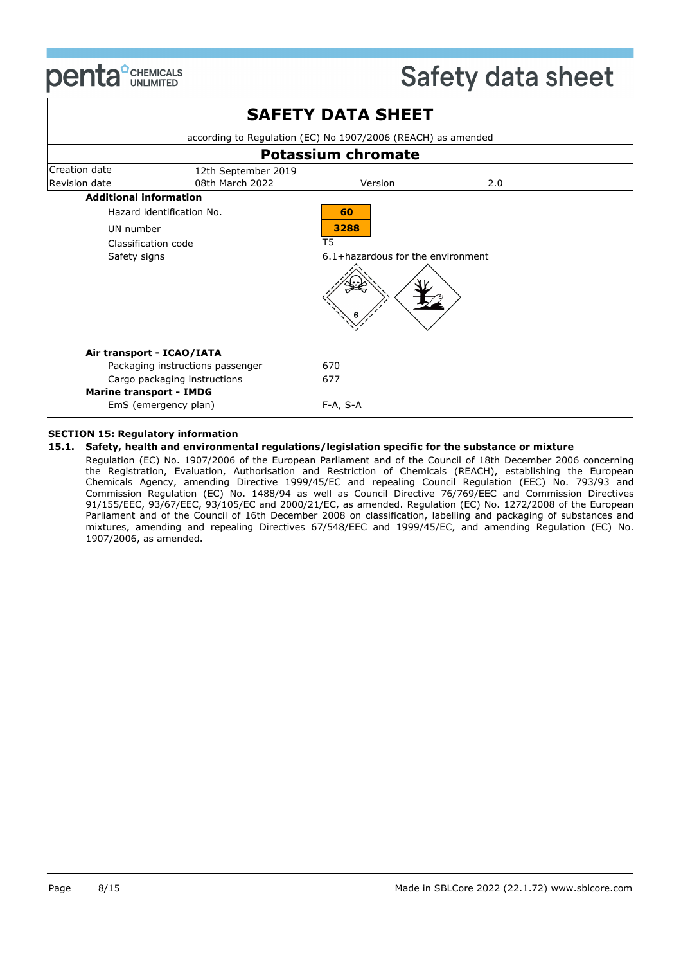

|                                |                                        | <b>SAFETY DATA SHEET</b>                                     |     |  |
|--------------------------------|----------------------------------------|--------------------------------------------------------------|-----|--|
|                                |                                        | according to Regulation (EC) No 1907/2006 (REACH) as amended |     |  |
|                                |                                        | <b>Potassium chromate</b>                                    |     |  |
| Creation date<br>Revision date | 12th September 2019<br>08th March 2022 | Version                                                      | 2.0 |  |
| <b>Additional information</b>  |                                        |                                                              |     |  |
|                                | Hazard identification No.              | 60                                                           |     |  |
| UN number                      |                                        | 3288                                                         |     |  |
| Classification code            |                                        | T5                                                           |     |  |
| Safety signs                   |                                        | 6.1+hazardous for the environment                            |     |  |
|                                |                                        |                                                              |     |  |
|                                | Air transport - ICAO/IATA              |                                                              |     |  |
|                                | Packaging instructions passenger       | 670                                                          |     |  |
|                                | Cargo packaging instructions           | 677                                                          |     |  |
| <b>Marine transport - IMDG</b> | EmS (emergency plan)                   | F-A, S-A                                                     |     |  |

#### **SECTION 15: Regulatory information**

#### **15.1. Safety, health and environmental regulations/legislation specific for the substance or mixture**

Regulation (EC) No. 1907/2006 of the European Parliament and of the Council of 18th December 2006 concerning the Registration, Evaluation, Authorisation and Restriction of Chemicals (REACH), establishing the European Chemicals Agency, amending Directive 1999/45/EC and repealing Council Regulation (EEC) No. 793/93 and Commission Regulation (EC) No. 1488/94 as well as Council Directive 76/769/EEC and Commission Directives 91/155/EEC, 93/67/EEC, 93/105/EC and 2000/21/EC, as amended. Regulation (EC) No. 1272/2008 of the European Parliament and of the Council of 16th December 2008 on classification, labelling and packaging of substances and mixtures, amending and repealing Directives 67/548/EEC and 1999/45/EC, and amending Regulation (EC) No. 1907/2006, as amended.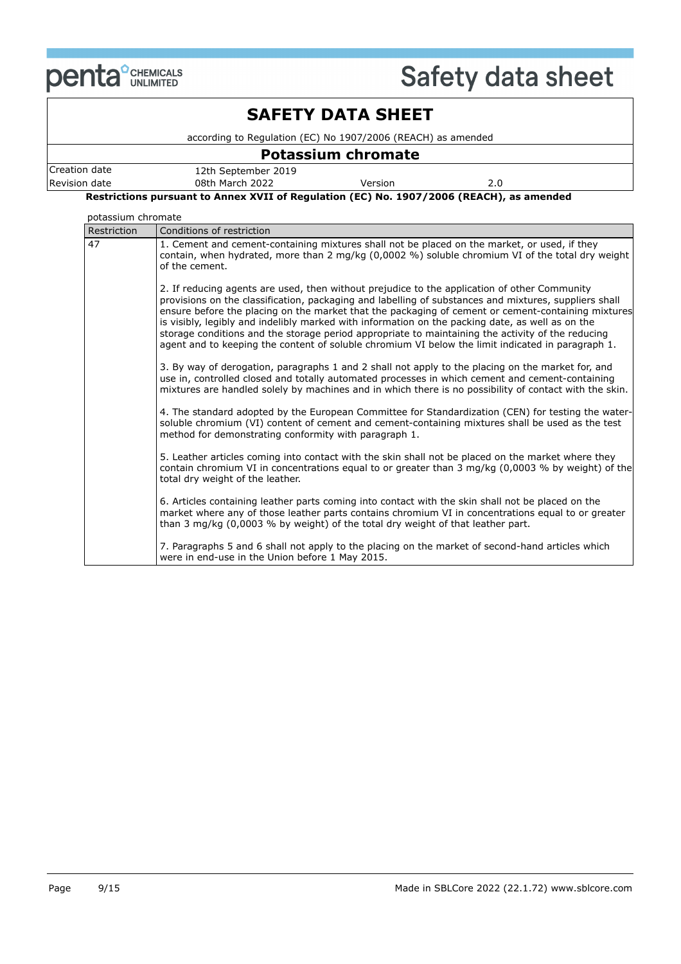

## **SAFETY DATA SHEET**

according to Regulation (EC) No 1907/2006 (REACH) as amended

### **Potassium chromate**

| Creation<br>date | 2019<br>12th September |         |     |
|------------------|------------------------|---------|-----|
| Revision date    | 08th March 2022        | Version | 2.0 |

**Restrictions pursuant to Annex XVII of Regulation (EC) No. 1907/2006 (REACH), as amended**

#### potassium chromate

| Restriction | Conditions of restriction                                                                                                                                                                                                                                                                                                                                                                                                                                                                                                                                                                                                 |
|-------------|---------------------------------------------------------------------------------------------------------------------------------------------------------------------------------------------------------------------------------------------------------------------------------------------------------------------------------------------------------------------------------------------------------------------------------------------------------------------------------------------------------------------------------------------------------------------------------------------------------------------------|
| 47          | 1. Cement and cement-containing mixtures shall not be placed on the market, or used, if they<br>contain, when hydrated, more than 2 mg/kg (0,0002 %) soluble chromium VI of the total dry weight<br>of the cement.                                                                                                                                                                                                                                                                                                                                                                                                        |
|             | 2. If reducing agents are used, then without prejudice to the application of other Community<br>provisions on the classification, packaging and labelling of substances and mixtures, suppliers shall<br>ensure before the placing on the market that the packaging of cement or cement-containing mixtures<br>is visibly, legibly and indelibly marked with information on the packing date, as well as on the<br>storage conditions and the storage period appropriate to maintaining the activity of the reducing<br>agent and to keeping the content of soluble chromium VI below the limit indicated in paragraph 1. |
|             | 3. By way of derogation, paragraphs 1 and 2 shall not apply to the placing on the market for, and<br>use in, controlled closed and totally automated processes in which cement and cement-containing<br>mixtures are handled solely by machines and in which there is no possibility of contact with the skin.                                                                                                                                                                                                                                                                                                            |
|             | 4. The standard adopted by the European Committee for Standardization (CEN) for testing the water-<br>soluble chromium (VI) content of cement and cement-containing mixtures shall be used as the test<br>method for demonstrating conformity with paragraph 1.                                                                                                                                                                                                                                                                                                                                                           |
|             | 5. Leather articles coming into contact with the skin shall not be placed on the market where they<br>contain chromium VI in concentrations equal to or greater than 3 mg/kg (0,0003 % by weight) of the<br>total dry weight of the leather.                                                                                                                                                                                                                                                                                                                                                                              |
|             | 6. Articles containing leather parts coming into contact with the skin shall not be placed on the<br>market where any of those leather parts contains chromium VI in concentrations equal to or greater<br>than 3 mg/kg (0,0003 % by weight) of the total dry weight of that leather part.                                                                                                                                                                                                                                                                                                                                |
|             | 7. Paragraphs 5 and 6 shall not apply to the placing on the market of second-hand articles which<br>were in end-use in the Union before 1 May 2015.                                                                                                                                                                                                                                                                                                                                                                                                                                                                       |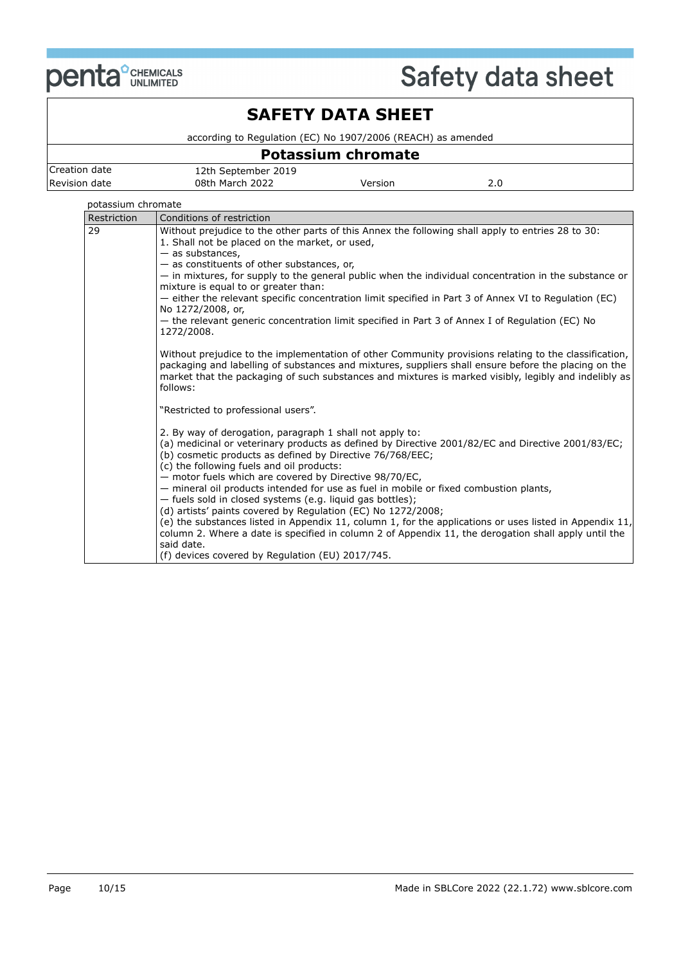

## **SAFETY DATA SHEET**

according to Regulation (EC) No 1907/2006 (REACH) as amended

### **Potassium chromate**

| Creation date | 12th September 2019 |         |     |
|---------------|---------------------|---------|-----|
| Revision date | 08th March 2022     | Version | z.u |

### potassium chromate

| Restriction | Conditions of restriction                                                                                                                                                                                                                                                                                                          |
|-------------|------------------------------------------------------------------------------------------------------------------------------------------------------------------------------------------------------------------------------------------------------------------------------------------------------------------------------------|
| 29          | Without prejudice to the other parts of this Annex the following shall apply to entries 28 to 30:                                                                                                                                                                                                                                  |
|             | 1. Shall not be placed on the market, or used,                                                                                                                                                                                                                                                                                     |
|             | $-$ as substances,                                                                                                                                                                                                                                                                                                                 |
|             | - as constituents of other substances, or,<br>- in mixtures, for supply to the general public when the individual concentration in the substance or                                                                                                                                                                                |
|             | mixture is equal to or greater than:                                                                                                                                                                                                                                                                                               |
|             | - either the relevant specific concentration limit specified in Part 3 of Annex VI to Regulation (EC)                                                                                                                                                                                                                              |
|             | No 1272/2008, or,                                                                                                                                                                                                                                                                                                                  |
|             | - the relevant generic concentration limit specified in Part 3 of Annex I of Regulation (EC) No<br>1272/2008.                                                                                                                                                                                                                      |
|             |                                                                                                                                                                                                                                                                                                                                    |
|             | Without prejudice to the implementation of other Community provisions relating to the classification,<br>packaging and labelling of substances and mixtures, suppliers shall ensure before the placing on the<br>market that the packaging of such substances and mixtures is marked visibly, legibly and indelibly as<br>follows: |
|             | "Restricted to professional users".                                                                                                                                                                                                                                                                                                |
|             | 2. By way of derogation, paragraph 1 shall not apply to:                                                                                                                                                                                                                                                                           |
|             | (a) medicinal or veterinary products as defined by Directive 2001/82/EC and Directive 2001/83/EC;<br>(b) cosmetic products as defined by Directive 76/768/EEC;<br>(c) the following fuels and oil products:                                                                                                                        |
|             | - motor fuels which are covered by Directive 98/70/EC,                                                                                                                                                                                                                                                                             |
|             | - mineral oil products intended for use as fuel in mobile or fixed combustion plants,                                                                                                                                                                                                                                              |
|             | - fuels sold in closed systems (e.g. liquid gas bottles);                                                                                                                                                                                                                                                                          |
|             | (d) artists' paints covered by Regulation (EC) No 1272/2008;                                                                                                                                                                                                                                                                       |
|             | (e) the substances listed in Appendix 11, column 1, for the applications or uses listed in Appendix 11,<br>column 2. Where a date is specified in column 2 of Appendix 11, the derogation shall apply until the                                                                                                                    |
|             | said date.                                                                                                                                                                                                                                                                                                                         |
|             | (f) devices covered by Regulation (EU) 2017/745.                                                                                                                                                                                                                                                                                   |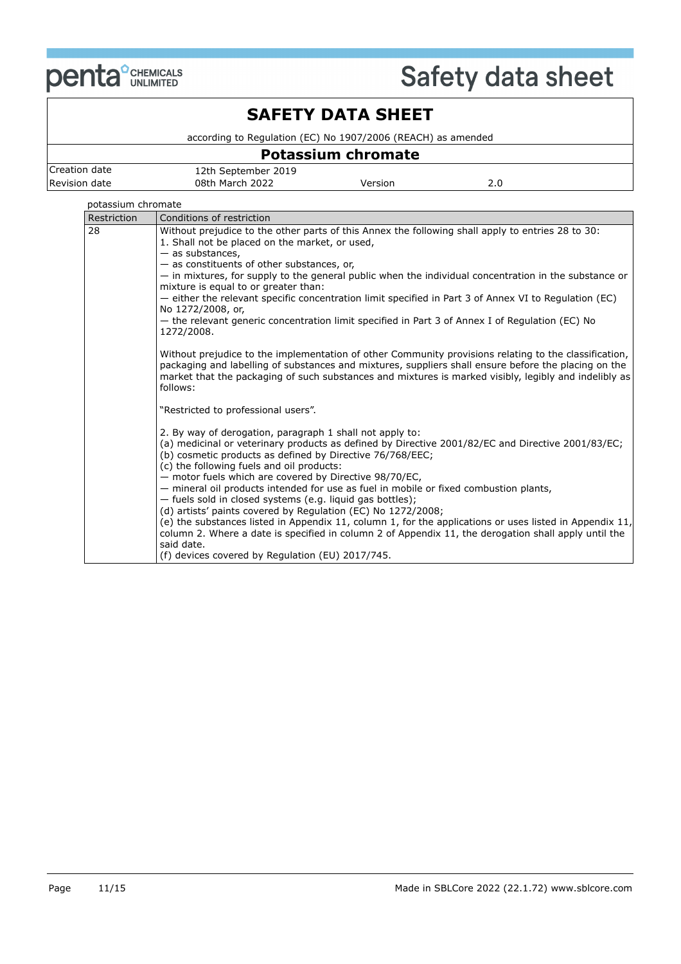

## **SAFETY DATA SHEET**

according to Regulation (EC) No 1907/2006 (REACH) as amended

### **Potassium chromate**

| Creation date | 12th September 2019 |         |     |
|---------------|---------------------|---------|-----|
| Revision date | 08th March 2022     | Version | z.u |

### potassium chromate

| Restriction | Conditions of restriction                                                                                                                           |
|-------------|-----------------------------------------------------------------------------------------------------------------------------------------------------|
| 28          | Without prejudice to the other parts of this Annex the following shall apply to entries 28 to 30:                                                   |
|             | 1. Shall not be placed on the market, or used,                                                                                                      |
|             | $-$ as substances,                                                                                                                                  |
|             | - as constituents of other substances, or,<br>- in mixtures, for supply to the general public when the individual concentration in the substance or |
|             | mixture is equal to or greater than:                                                                                                                |
|             | - either the relevant specific concentration limit specified in Part 3 of Annex VI to Regulation (EC)                                               |
|             | No 1272/2008, or,                                                                                                                                   |
|             | - the relevant generic concentration limit specified in Part 3 of Annex I of Regulation (EC) No                                                     |
|             | 1272/2008.                                                                                                                                          |
|             |                                                                                                                                                     |
|             | Without prejudice to the implementation of other Community provisions relating to the classification,                                               |
|             | packaging and labelling of substances and mixtures, suppliers shall ensure before the placing on the                                                |
|             | market that the packaging of such substances and mixtures is marked visibly, legibly and indelibly as<br>follows:                                   |
|             |                                                                                                                                                     |
|             | "Restricted to professional users".                                                                                                                 |
|             |                                                                                                                                                     |
|             | 2. By way of derogation, paragraph 1 shall not apply to:                                                                                            |
|             | (a) medicinal or veterinary products as defined by Directive 2001/82/EC and Directive 2001/83/EC;                                                   |
|             | (b) cosmetic products as defined by Directive 76/768/EEC;                                                                                           |
|             | (c) the following fuels and oil products:                                                                                                           |
|             | - motor fuels which are covered by Directive 98/70/EC,                                                                                              |
|             | - mineral oil products intended for use as fuel in mobile or fixed combustion plants,                                                               |
|             | - fuels sold in closed systems (e.g. liquid gas bottles);<br>(d) artists' paints covered by Regulation (EC) No 1272/2008;                           |
|             | (e) the substances listed in Appendix 11, column 1, for the applications or uses listed in Appendix 11,                                             |
|             | column 2. Where a date is specified in column 2 of Appendix 11, the derogation shall apply until the                                                |
|             | said date.                                                                                                                                          |
|             | (f) devices covered by Regulation (EU) 2017/745.                                                                                                    |
|             |                                                                                                                                                     |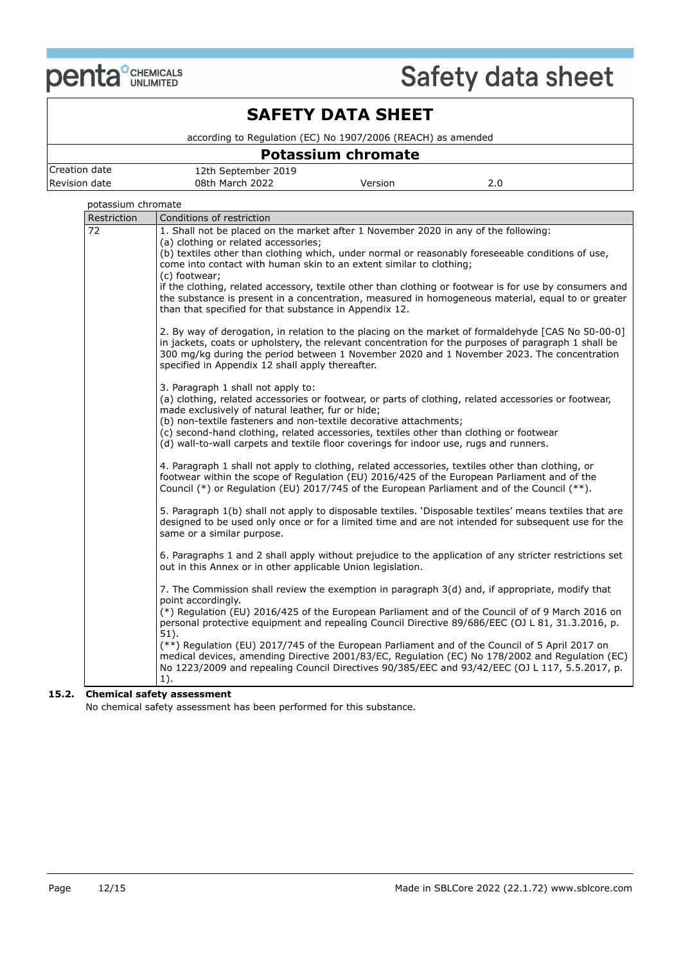

## **SAFETY DATA SHEET**

according to Regulation (EC) No 1907/2006 (REACH) as amended

### **Potassium chromate** Creation date 12th September 2019 Revision date **08th March 2022** Version 2.0

| potassium chromate |                                                                                                                                                                                                   |
|--------------------|---------------------------------------------------------------------------------------------------------------------------------------------------------------------------------------------------|
| Restriction        | Conditions of restriction                                                                                                                                                                         |
| 72                 | 1. Shall not be placed on the market after 1 November 2020 in any of the following:                                                                                                               |
|                    | (a) clothing or related accessories;<br>(b) textiles other than clothing which, under normal or reasonably foreseeable conditions of use,                                                         |
|                    | come into contact with human skin to an extent similar to clothing;                                                                                                                               |
|                    | (c) footwear;                                                                                                                                                                                     |
|                    | if the clothing, related accessory, textile other than clothing or footwear is for use by consumers and                                                                                           |
|                    | the substance is present in a concentration, measured in homogeneous material, equal to or greater                                                                                                |
|                    | than that specified for that substance in Appendix 12.                                                                                                                                            |
|                    | 2. By way of derogation, in relation to the placing on the market of formaldehyde [CAS No 50-00-0]                                                                                                |
|                    | in jackets, coats or upholstery, the relevant concentration for the purposes of paragraph 1 shall be                                                                                              |
|                    | 300 mg/kg during the period between 1 November 2020 and 1 November 2023. The concentration                                                                                                        |
|                    | specified in Appendix 12 shall apply thereafter.                                                                                                                                                  |
|                    | 3. Paragraph 1 shall not apply to:                                                                                                                                                                |
|                    | (a) clothing, related accessories or footwear, or parts of clothing, related accessories or footwear,                                                                                             |
|                    | made exclusively of natural leather, fur or hide;                                                                                                                                                 |
|                    | (b) non-textile fasteners and non-textile decorative attachments;<br>(c) second-hand clothing, related accessories, textiles other than clothing or footwear                                      |
|                    | (d) wall-to-wall carpets and textile floor coverings for indoor use, rugs and runners.                                                                                                            |
|                    |                                                                                                                                                                                                   |
|                    | 4. Paragraph 1 shall not apply to clothing, related accessories, textiles other than clothing, or                                                                                                 |
|                    | footwear within the scope of Regulation (EU) 2016/425 of the European Parliament and of the<br>Council (*) or Regulation (EU) 2017/745 of the European Parliament and of the Council (**).        |
|                    |                                                                                                                                                                                                   |
|                    | 5. Paragraph 1(b) shall not apply to disposable textiles. 'Disposable textiles' means textiles that are                                                                                           |
|                    | designed to be used only once or for a limited time and are not intended for subsequent use for the                                                                                               |
|                    | same or a similar purpose.                                                                                                                                                                        |
|                    | 6. Paragraphs 1 and 2 shall apply without prejudice to the application of any stricter restrictions set                                                                                           |
|                    | out in this Annex or in other applicable Union legislation.                                                                                                                                       |
|                    | 7. The Commission shall review the exemption in paragraph 3(d) and, if appropriate, modify that                                                                                                   |
|                    | point accordingly.                                                                                                                                                                                |
|                    | (*) Regulation (EU) 2016/425 of the European Parliament and of the Council of of 9 March 2016 on                                                                                                  |
|                    | personal protective equipment and repealing Council Directive 89/686/EEC (OJ L 81, 31.3.2016, p.                                                                                                  |
|                    | $51$ ).                                                                                                                                                                                           |
|                    | (**) Regulation (EU) 2017/745 of the European Parliament and of the Council of 5 April 2017 on<br>medical devices, amending Directive 2001/83/EC, Regulation (EC) No 178/2002 and Regulation (EC) |
|                    | No 1223/2009 and repealing Council Directives 90/385/EEC and 93/42/EEC (OJ L 117, 5.5.2017, p.                                                                                                    |
|                    | $1$ ).                                                                                                                                                                                            |
|                    |                                                                                                                                                                                                   |

#### **15.2. Chemical safety assessment**

No chemical safety assessment has been performed for this substance.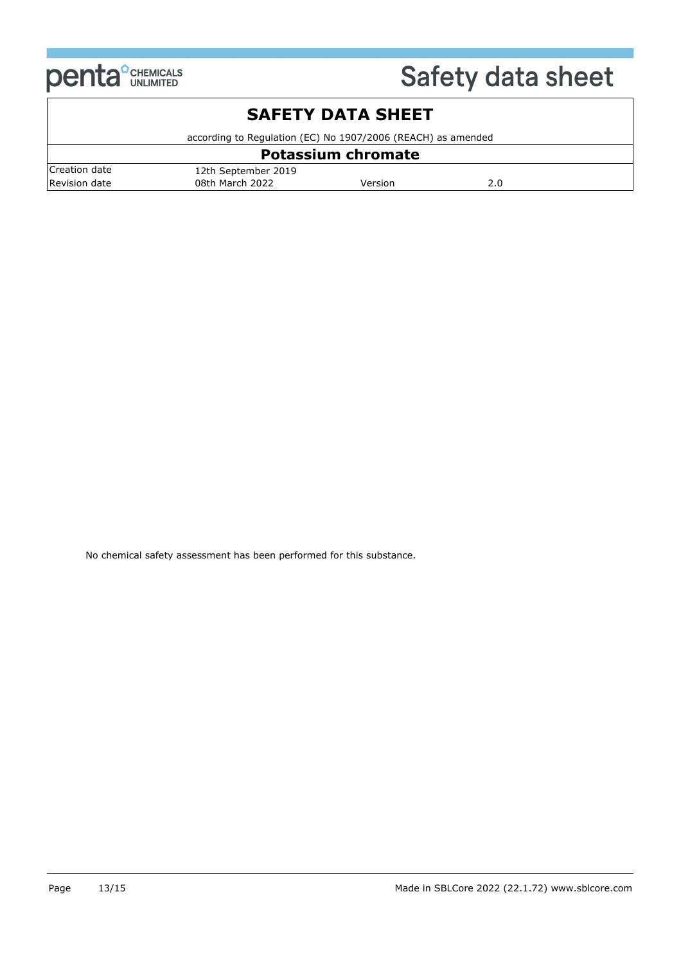

## **SAFETY DATA SHEET**

according to Regulation (EC) No 1907/2006 (REACH) as amended

| <b>Potassium chromate</b> |                     |         |     |
|---------------------------|---------------------|---------|-----|
| Creation date             | 12th September 2019 |         |     |
| Revision date             | 08th March 2022     | Version | 2.0 |

No chemical safety assessment has been performed for this substance.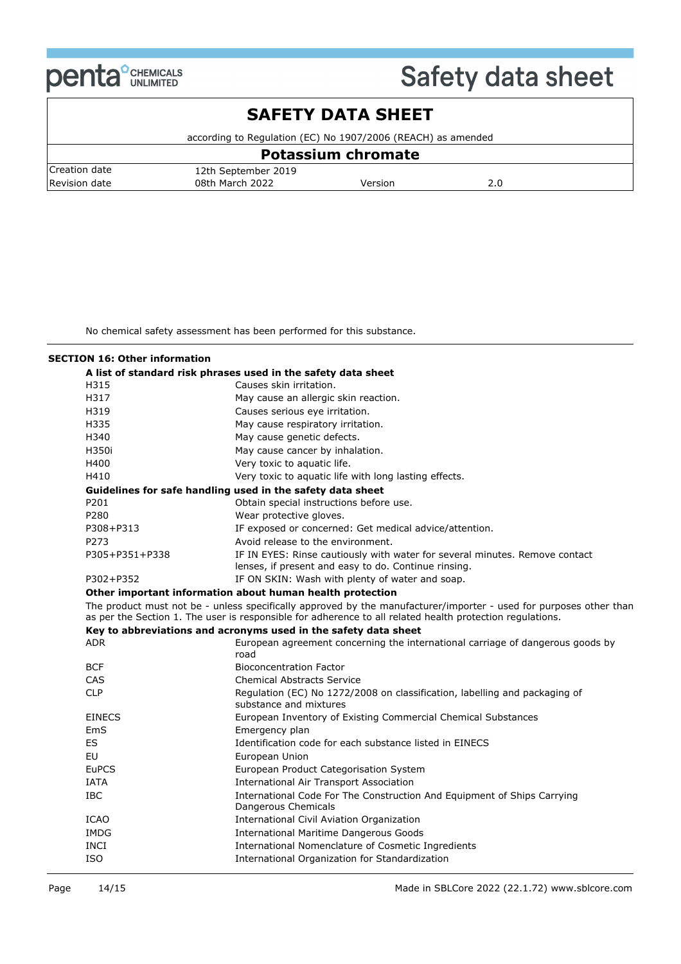

### **SAFETY DATA SHEET**

according to Regulation (EC) No 1907/2006 (REACH) as amended

| Potassium chromate |                     |         |  |
|--------------------|---------------------|---------|--|
| Creation date      | 12th September 2019 |         |  |
| Revision date      | 08th March 2022     | Version |  |

No chemical safety assessment has been performed for this substance.

### **SECTION 16: Other information**

|                | A list of standard risk phrases used in the safety data sheet                                                                                                                                                                   |
|----------------|---------------------------------------------------------------------------------------------------------------------------------------------------------------------------------------------------------------------------------|
| H315           | Causes skin irritation.                                                                                                                                                                                                         |
| H317           | May cause an allergic skin reaction.                                                                                                                                                                                            |
| H319           | Causes serious eye irritation.                                                                                                                                                                                                  |
| H335           | May cause respiratory irritation.                                                                                                                                                                                               |
| H340           | May cause genetic defects.                                                                                                                                                                                                      |
| H350i          | May cause cancer by inhalation.                                                                                                                                                                                                 |
| H400           | Very toxic to aquatic life.                                                                                                                                                                                                     |
| H410           | Very toxic to aquatic life with long lasting effects.                                                                                                                                                                           |
|                | Guidelines for safe handling used in the safety data sheet                                                                                                                                                                      |
| P201           | Obtain special instructions before use.                                                                                                                                                                                         |
| P280           | Wear protective gloves.                                                                                                                                                                                                         |
| P308+P313      | IF exposed or concerned: Get medical advice/attention.                                                                                                                                                                          |
| P273           | Avoid release to the environment.                                                                                                                                                                                               |
| P305+P351+P338 | IF IN EYES: Rinse cautiously with water for several minutes. Remove contact<br>lenses, if present and easy to do. Continue rinsing.                                                                                             |
| P302+P352      | IF ON SKIN: Wash with plenty of water and soap.                                                                                                                                                                                 |
|                | Other important information about human health protection                                                                                                                                                                       |
|                | The product must not be - unless specifically approved by the manufacturer/importer - used for purposes other than<br>as per the Section 1. The user is responsible for adherence to all related health protection regulations. |
|                | Key to abbreviations and acronyms used in the safety data sheet                                                                                                                                                                 |
| <b>ADR</b>     | European agreement concerning the international carriage of dangerous goods by<br>road                                                                                                                                          |
| <b>BCF</b>     | <b>Bioconcentration Factor</b>                                                                                                                                                                                                  |
| <b>CAS</b>     | <b>Chemical Abstracts Service</b>                                                                                                                                                                                               |
| <b>CLP</b>     | Regulation (EC) No 1272/2008 on classification, labelling and packaging of<br>substance and mixtures                                                                                                                            |
| <b>EINECS</b>  | European Inventory of Existing Commercial Chemical Substances                                                                                                                                                                   |
| EmS            | Emergency plan                                                                                                                                                                                                                  |
| ES             | Identification code for each substance listed in EINECS                                                                                                                                                                         |
| EU             | European Union                                                                                                                                                                                                                  |
| <b>EuPCS</b>   | European Product Categorisation System                                                                                                                                                                                          |
| <b>IATA</b>    | <b>International Air Transport Association</b>                                                                                                                                                                                  |
| <b>IBC</b>     | International Code For The Construction And Equipment of Ships Carrying<br>Dangerous Chemicals                                                                                                                                  |
| <b>ICAO</b>    | International Civil Aviation Organization                                                                                                                                                                                       |
| IMDG           | <b>International Maritime Dangerous Goods</b>                                                                                                                                                                                   |
| <b>INCI</b>    | International Nomenclature of Cosmetic Ingredients                                                                                                                                                                              |
| <b>ISO</b>     | International Organization for Standardization                                                                                                                                                                                  |